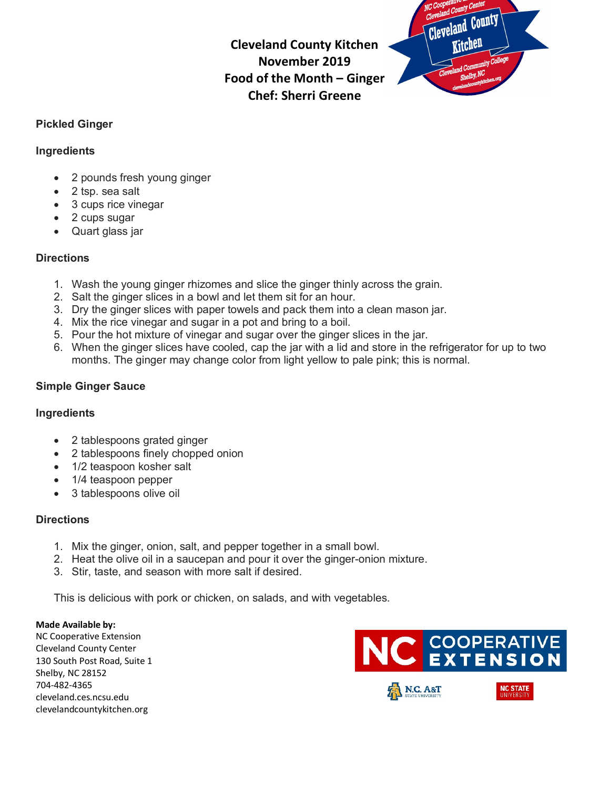**Cleveland County Kitchen November 2019 Food of the Month – Ginger Chef: Sherri Greene**



#### **Pickled Ginger**

#### **Ingredients**

- 2 pounds fresh young ginger
- 2 tsp. sea salt
- 3 cups rice vinegar
- 2 cups sugar
- Quart glass jar

#### **Directions**

- 1. Wash the young ginger rhizomes and slice the ginger thinly across the grain.
- 2. Salt the ginger slices in a bowl and let them sit for an hour.
- 3. Dry the ginger slices with paper towels and pack them into a clean mason jar.
- 4. Mix the rice vinegar and sugar in a pot and bring to a boil.
- 5. Pour the hot mixture of vinegar and sugar over the ginger slices in the jar.
- 6. When the ginger slices have cooled, cap the jar with a lid and store in the refrigerator for up to two months. The ginger may change color from light yellow to pale pink; this is normal.

### **Simple Ginger Sauce**

#### **Ingredients**

- 2 tablespoons grated ginger
- 2 tablespoons finely chopped onion
- 1/2 teaspoon kosher salt
- 1/4 teaspoon pepper
- 3 tablespoons olive oil

#### **Directions**

- 1. Mix the ginger, onion, salt, and pepper together in a small bowl.
- 2. Heat the olive oil in a saucepan and pour it over the ginger-onion mixture.
- 3. Stir, taste, and season with more salt if desired.

This is delicious with pork or chicken, on salads, and with vegetables.

#### **Made Available by:**

NC Cooperative Extension Cleveland County Center 130 South Post Road, Suite 1 Shelby, NC 28152 704-482-4365 cleveland.ces.ncsu.edu clevelandcountykitchen.org